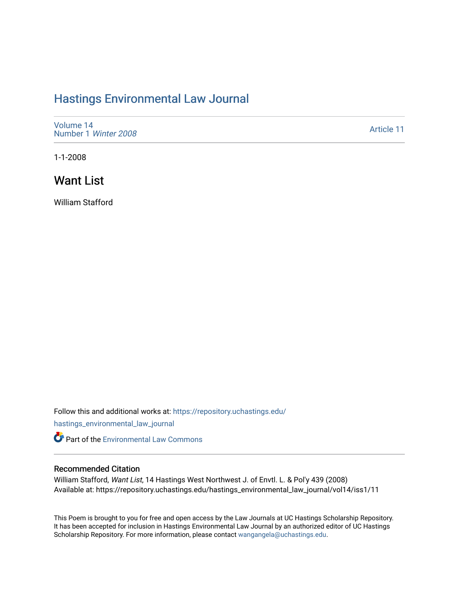## [Hastings Environmental Law Journal](https://repository.uchastings.edu/hastings_environmental_law_journal)

[Volume 14](https://repository.uchastings.edu/hastings_environmental_law_journal/vol14) [Number 1](https://repository.uchastings.edu/hastings_environmental_law_journal/vol14/iss1) Winter 2008

[Article 11](https://repository.uchastings.edu/hastings_environmental_law_journal/vol14/iss1/11) 

1-1-2008

## Want List

William Stafford

Follow this and additional works at: [https://repository.uchastings.edu/](https://repository.uchastings.edu/hastings_environmental_law_journal?utm_source=repository.uchastings.edu%2Fhastings_environmental_law_journal%2Fvol14%2Fiss1%2F11&utm_medium=PDF&utm_campaign=PDFCoverPages)

[hastings\\_environmental\\_law\\_journal](https://repository.uchastings.edu/hastings_environmental_law_journal?utm_source=repository.uchastings.edu%2Fhastings_environmental_law_journal%2Fvol14%2Fiss1%2F11&utm_medium=PDF&utm_campaign=PDFCoverPages) 

**C** Part of the [Environmental Law Commons](http://network.bepress.com/hgg/discipline/599?utm_source=repository.uchastings.edu%2Fhastings_environmental_law_journal%2Fvol14%2Fiss1%2F11&utm_medium=PDF&utm_campaign=PDFCoverPages)

## Recommended Citation

William Stafford, Want List, 14 Hastings West Northwest J. of Envtl. L. & Pol'y 439 (2008) Available at: https://repository.uchastings.edu/hastings\_environmental\_law\_journal/vol14/iss1/11

This Poem is brought to you for free and open access by the Law Journals at UC Hastings Scholarship Repository. It has been accepted for inclusion in Hastings Environmental Law Journal by an authorized editor of UC Hastings Scholarship Repository. For more information, please contact [wangangela@uchastings.edu.](mailto:wangangela@uchastings.edu)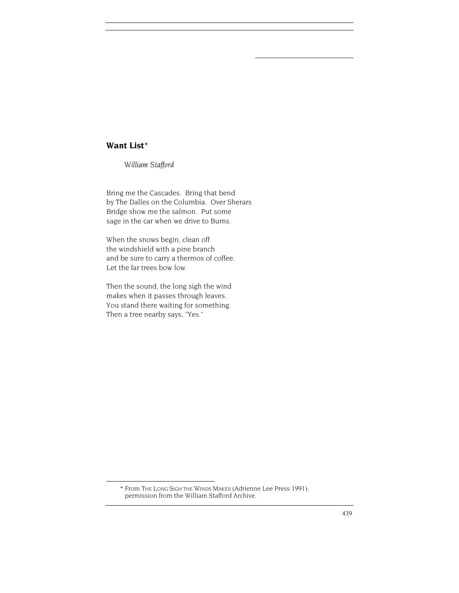## **Want List**\*

*William Stafford*

Bring me the Cascades. Bring that bend by The Dalles on the Columbia. Over Sherars Bridge show me the salmon. Put some sage in the car when we drive to Burns.

When the snows begin, clean off the windshield with a pine branch and be sure to carry a thermos of coffee. Let the far trees bow low.

Then the sound, the long sigh the wind makes when it passes through leaves. You stand there waiting for something. Then a tree nearby says, "Yes."

<sup>\*</sup> From THE LONG SIGH THE WINDS MAKES (Adrienne Lee Press 1991); permission from the William Stafford Archive.